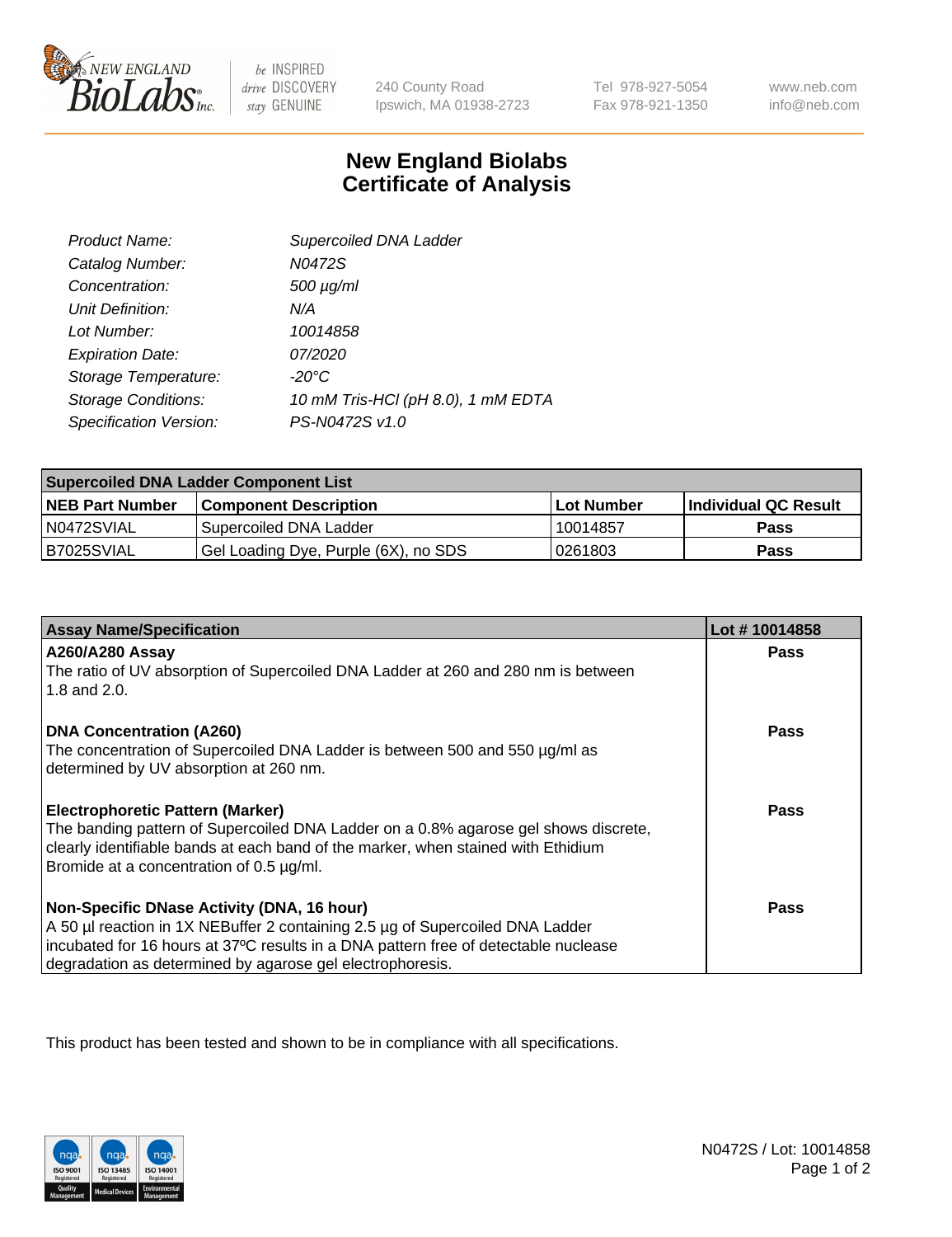

 $be$  INSPIRED drive DISCOVERY stay GENUINE

240 County Road Ipswich, MA 01938-2723 Tel 978-927-5054 Fax 978-921-1350

www.neb.com info@neb.com

## **New England Biolabs Certificate of Analysis**

| Product Name:              | Supercoiled DNA Ladder             |
|----------------------------|------------------------------------|
| Catalog Number:            | N0472S                             |
| Concentration:             | $500 \mu g/ml$                     |
| Unit Definition:           | N/A                                |
| Lot Number:                | 10014858                           |
| <b>Expiration Date:</b>    | <i>07/2020</i>                     |
| Storage Temperature:       | $-20^{\circ}$ C                    |
| <b>Storage Conditions:</b> | 10 mM Tris-HCl (pH 8.0), 1 mM EDTA |
| Specification Version:     | PS-N0472S v1.0                     |

| <b>Supercoiled DNA Ladder Component List</b> |                                      |              |                      |  |
|----------------------------------------------|--------------------------------------|--------------|----------------------|--|
| <b>NEB Part Number</b>                       | <b>Component Description</b>         | l Lot Number | Individual QC Result |  |
| N0472SVIAL                                   | Supercoiled DNA Ladder               | 10014857     | <b>Pass</b>          |  |
| B7025SVIAL                                   | Gel Loading Dye, Purple (6X), no SDS | 10261803     | <b>Pass</b>          |  |

| <b>Assay Name/Specification</b>                                                                                               | Lot #10014858 |
|-------------------------------------------------------------------------------------------------------------------------------|---------------|
| A260/A280 Assay                                                                                                               | <b>Pass</b>   |
| The ratio of UV absorption of Supercoiled DNA Ladder at 260 and 280 nm is between<br>1.8 and 2.0.                             |               |
| <b>DNA Concentration (A260)</b>                                                                                               | Pass          |
| The concentration of Supercoiled DNA Ladder is between 500 and 550 µg/ml as                                                   |               |
| determined by UV absorption at 260 nm.                                                                                        |               |
| <b>Electrophoretic Pattern (Marker)</b>                                                                                       | Pass          |
| The banding pattern of Supercoiled DNA Ladder on a 0.8% agarose gel shows discrete,                                           |               |
| clearly identifiable bands at each band of the marker, when stained with Ethidium<br>Bromide at a concentration of 0.5 µg/ml. |               |
|                                                                                                                               |               |
| Non-Specific DNase Activity (DNA, 16 hour)                                                                                    | Pass          |
| A 50 µl reaction in 1X NEBuffer 2 containing 2.5 µg of Supercoiled DNA Ladder                                                 |               |
| incubated for 16 hours at 37°C results in a DNA pattern free of detectable nuclease                                           |               |
| degradation as determined by agarose gel electrophoresis.                                                                     |               |

This product has been tested and shown to be in compliance with all specifications.